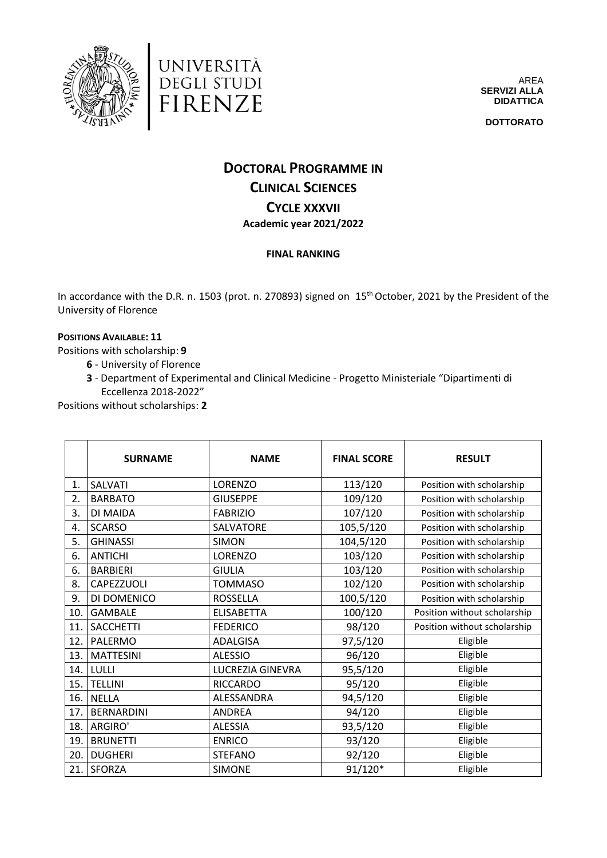

università<br>degli studi<br>FIRENZE



**DOTTORATO**

## **DOCTORAL PROGRAMME IN CLINICAL SCIENCES CYCLE XXXVII Academic year 2021/2022**

## **FINAL RANKING**

In accordance with the D.R. n. 1503 (prot. n. 270893) signed on 15<sup>th</sup> October, 2021 by the President of the University of Florence

## **POSITIONS AVAILABLE: 11**

Positions with scholarship: **9**

- **6** University of Florence
- **3** Department of Experimental and Clinical Medicine Progetto Ministeriale "Dipartimenti di Eccellenza 2018-2022"

Positions without scholarships: **2**

|     | <b>SURNAME</b>    | <b>NAME</b>       | <b>FINAL SCORE</b> | <b>RESULT</b>                |
|-----|-------------------|-------------------|--------------------|------------------------------|
| 1.  | <b>SALVATI</b>    | LORENZO           | 113/120            | Position with scholarship    |
| 2.  | <b>BARBATO</b>    | <b>GIUSEPPE</b>   | 109/120            | Position with scholarship    |
| 3.  | DI MAIDA          | <b>FABRIZIO</b>   | 107/120            | Position with scholarship    |
| 4.  | <b>SCARSO</b>     | SALVATORE         | 105,5/120          | Position with scholarship    |
| 5.  | <b>GHINASSI</b>   | <b>SIMON</b>      | 104,5/120          | Position with scholarship    |
| 6.  | <b>ANTICHI</b>    | LORENZO           | 103/120            | Position with scholarship    |
| 6.  | <b>BARBIERI</b>   | <b>GIULIA</b>     | 103/120            | Position with scholarship    |
| 8.  | CAPEZZUOLI        | <b>TOMMASO</b>    | 102/120            | Position with scholarship    |
| 9.  | DI DOMENICO       | <b>ROSSELLA</b>   | 100,5/120          | Position with scholarship    |
| 10. | <b>GAMBALE</b>    | <b>ELISABETTA</b> | 100/120            | Position without scholarship |
| 11. | <b>SACCHETTI</b>  | <b>FEDERICO</b>   | 98/120             | Position without scholarship |
| 12. | PALERMO           | <b>ADALGISA</b>   | 97,5/120           | Eligible                     |
| 13. | <b>MATTESINI</b>  | <b>ALESSIO</b>    | 96/120             | Eligible                     |
| 14. | LULLI             | LUCREZIA GINEVRA  | 95,5/120           | Eligible                     |
| 15. | <b>TELLINI</b>    | <b>RICCARDO</b>   | 95/120             | Eligible                     |
| 16. | <b>NELLA</b>      | ALESSANDRA        | 94,5/120           | Eligible                     |
| 17. | <b>BERNARDINI</b> | <b>ANDREA</b>     | 94/120             | Eligible                     |
| 18. | ARGIRO'           | <b>ALESSIA</b>    | 93,5/120           | Eligible                     |
| 19. | <b>BRUNETTI</b>   | <b>ENRICO</b>     | 93/120             | Eligible                     |
| 20. | <b>DUGHERI</b>    | <b>STEFANO</b>    | 92/120             | Eligible                     |
| 21. | SFORZA            | <b>SIMONE</b>     | 91/120*            | Eligible                     |